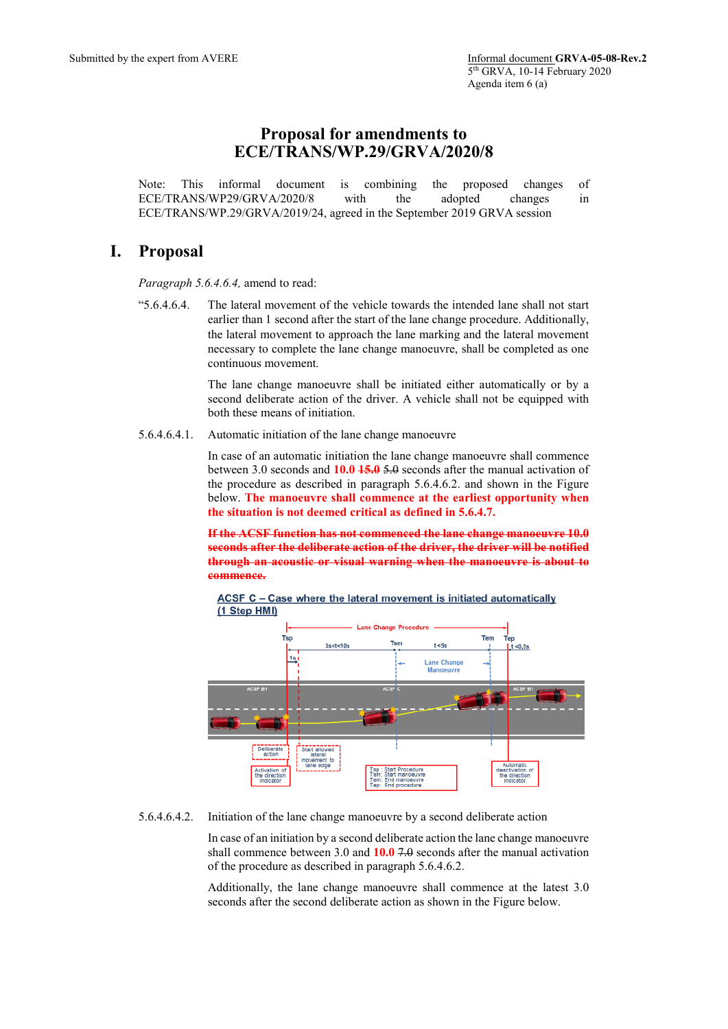## **Proposal for amendments to ECE/TRANS/WP.29/GRVA/2020/8**

Note: This informal document is combining the proposed changes of ECE/TRANS/WP29/GRVA/2020/8 with the adopted changes in ECE/TRANS/WP.29/GRVA/2019/24, agreed in the September 2019 GRVA session

## **I. Proposal**

*Paragraph 5.6.4.6.4,* amend to read:

"5.6.4.6.4. The lateral movement of the vehicle towards the intended lane shall not start earlier than 1 second after the start of the lane change procedure. Additionally, the lateral movement to approach the lane marking and the lateral movement necessary to complete the lane change manoeuvre, shall be completed as one continuous movement.

> The lane change manoeuvre shall be initiated either automatically or by a second deliberate action of the driver. A vehicle shall not be equipped with both these means of initiation.

5.6.4.6.4.1. Automatic initiation of the lane change manoeuvre

In case of an automatic initiation the lane change manoeuvre shall commence between 3.0 seconds and **10.0 15.0** 5.0 seconds after the manual activation of the procedure as described in paragraph 5.6.4.6.2. and shown in the Figure below. **The manoeuvre shall commence at the earliest opportunity when the situation is not deemed critical as defined in 5.6.4.7.**

**If the ACSF function has not commenced the lane change manoeuvre 10.0 seconds after the deliberate action of the driver, the driver will be notified through an acoustic or visual warning when the manoeuvre is about to commence.**

ACSF C - Case where the lateral movement is initiated automatically (1 Step HMI)



5.6.4.6.4.2. Initiation of the lane change manoeuvre by a second deliberate action

In case of an initiation by a second deliberate action the lane change manoeuvre shall commence between 3.0 and **10.0** 7.0 seconds after the manual activation of the procedure as described in paragraph 5.6.4.6.2.

Additionally, the lane change manoeuvre shall commence at the latest 3.0 seconds after the second deliberate action as shown in the Figure below.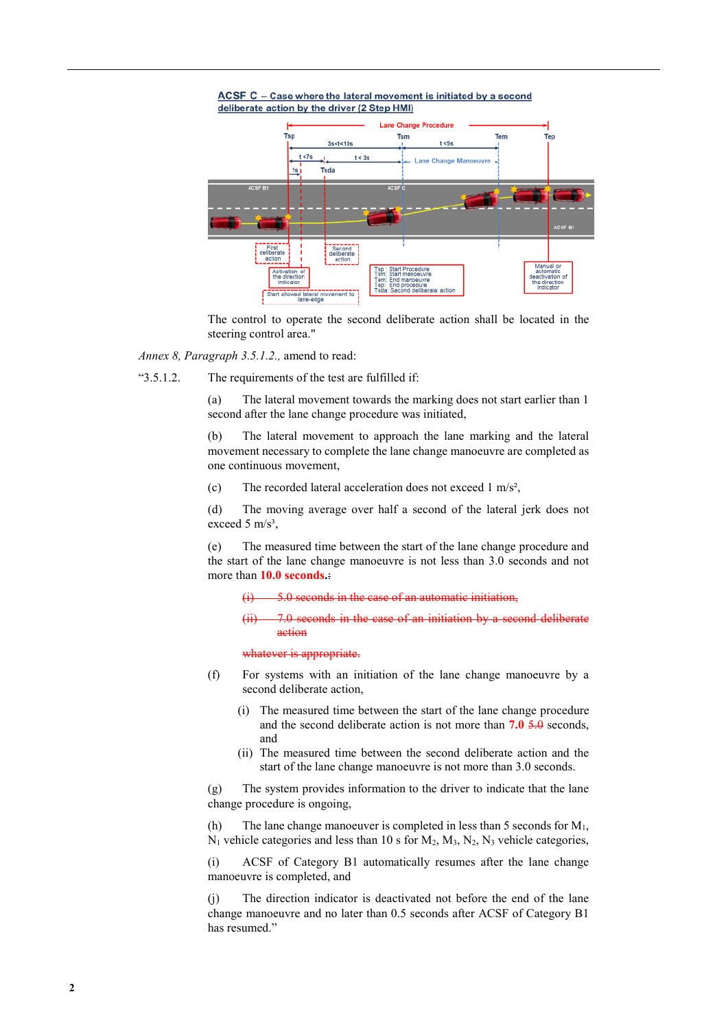



The control to operate the second deliberate action shall be located in the steering control area."

*Annex 8, Paragraph 3.5.1.2.,* amend to read:

"3.5.1.2. The requirements of the test are fulfilled if:

(a) The lateral movement towards the marking does not start earlier than 1 second after the lane change procedure was initiated,

(b) The lateral movement to approach the lane marking and the lateral movement necessary to complete the lane change manoeuvre are completed as one continuous movement,

(c) The recorded lateral acceleration does not exceed 1 m/s²,

(d) The moving average over half a second of the lateral jerk does not exceed 5  $m/s<sup>3</sup>$ ,

(e) The measured time between the start of the lane change procedure and the start of the lane change manoeuvre is not less than 3.0 seconds and not more than **10.0 seconds.**:

5.0 seconds in the case of an automatic initiation.

af an initiation by action

whatever is appropriate.

- (f) For systems with an initiation of the lane change manoeuvre by a second deliberate action,
	- (i) The measured time between the start of the lane change procedure and the second deliberate action is not more than **7.0** 5.0 seconds, and
	- (ii) The measured time between the second deliberate action and the start of the lane change manoeuvre is not more than 3.0 seconds.

(g) The system provides information to the driver to indicate that the lane change procedure is ongoing,

(h) The lane change manoeuver is completed in less than 5 seconds for  $M_1$ ,  $N_1$  vehicle categories and less than 10 s for  $M_2$ ,  $M_3$ ,  $N_2$ ,  $N_3$  vehicle categories,

(i) ACSF of Category B1 automatically resumes after the lane change manoeuvre is completed, and

(j) The direction indicator is deactivated not before the end of the lane change manoeuvre and no later than 0.5 seconds after ACSF of Category B1 has resumed."